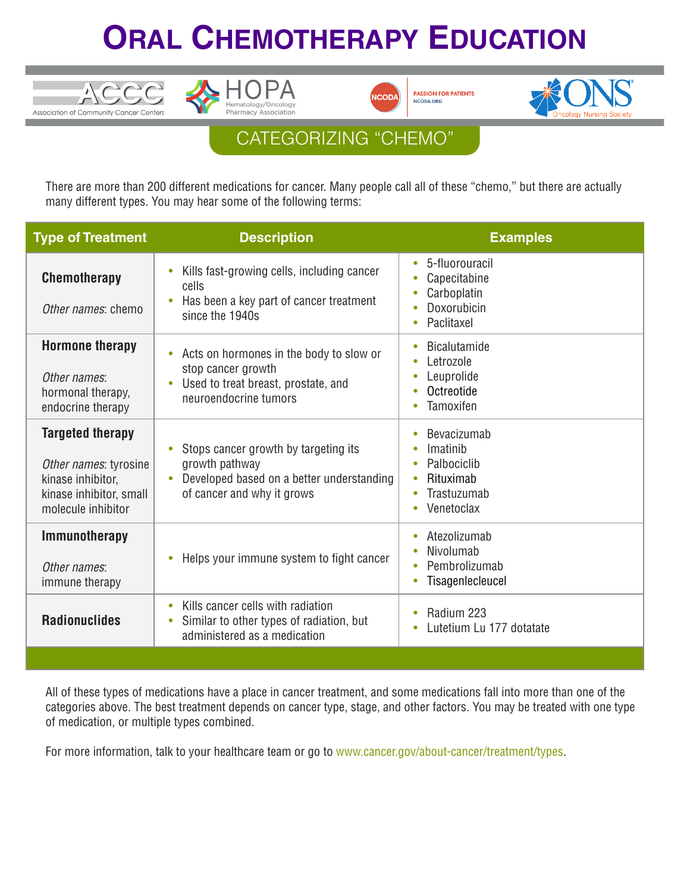## **ORAL CHEMOTHERAPY EDUCATION**



ACCC

Association of Community Cancer Centers





## CATEGORIZING "CHEMO"

There are more than 200 different medications for cancer. Many people call all of these "chemo," but there are actually many different types. You may hear some of the following terms:

| <b>Type of Treatment</b>                                                                                               | <b>Description</b>                                                                                                                         | <b>Examples</b>                                                                                            |
|------------------------------------------------------------------------------------------------------------------------|--------------------------------------------------------------------------------------------------------------------------------------------|------------------------------------------------------------------------------------------------------------|
| <b>Chemotherapy</b><br>Other names: chemo                                                                              | Kills fast-growing cells, including cancer<br>$\bullet$<br>cells<br>Has been a key part of cancer treatment<br>since the 1940s             | 5-fluorouracil<br>$\bullet$<br>Capecitabine<br>Carboplatin<br>Doxorubicin<br>Paclitaxel                    |
| <b>Hormone therapy</b><br>Other names:<br>hormonal therapy,<br>endocrine therapy                                       | Acts on hormones in the body to slow or<br>$\bullet$<br>stop cancer growth<br>Used to treat breast, prostate, and<br>neuroendocrine tumors | <b>Bicalutamide</b><br>Letrozole<br>Leuprolide<br>Octreotide<br>Tamoxifen                                  |
| <b>Targeted therapy</b><br>Other names: tyrosine<br>kinase inhibitor,<br>kinase inhibitor, small<br>molecule inhibitor | Stops cancer growth by targeting its<br>growth pathway<br>Developed based on a better understanding<br>of cancer and why it grows          | Bevacizumab<br>Imatinib<br>Palbociclib<br>Rituximab<br>Trastuzumab<br>$\bullet$<br>Venetoclax<br>$\bullet$ |
| <b>Immunotherapy</b><br>Other names:<br>immune therapy                                                                 | Helps your immune system to fight cancer                                                                                                   | Atezolizumab<br>$\bullet$<br>Nivolumab<br>Pembrolizumab<br>Tisagenlecleucel                                |
| <b>Radionuclides</b>                                                                                                   | Kills cancer cells with radiation<br>$\bullet$<br>Similar to other types of radiation, but<br>$\bullet$<br>administered as a medication    | Radium 223<br>Lutetium Lu 177 dotatate                                                                     |

All of these types of medications have a place in cancer treatment, and some medications fall into more than one of the categories above. The best treatment depends on cancer type, stage, and other factors. You may be treated with one type of medication, or multiple types combined.

For more information, talk to your healthcare team or go to www.cancer.gov/about-cancer/treatment/types.